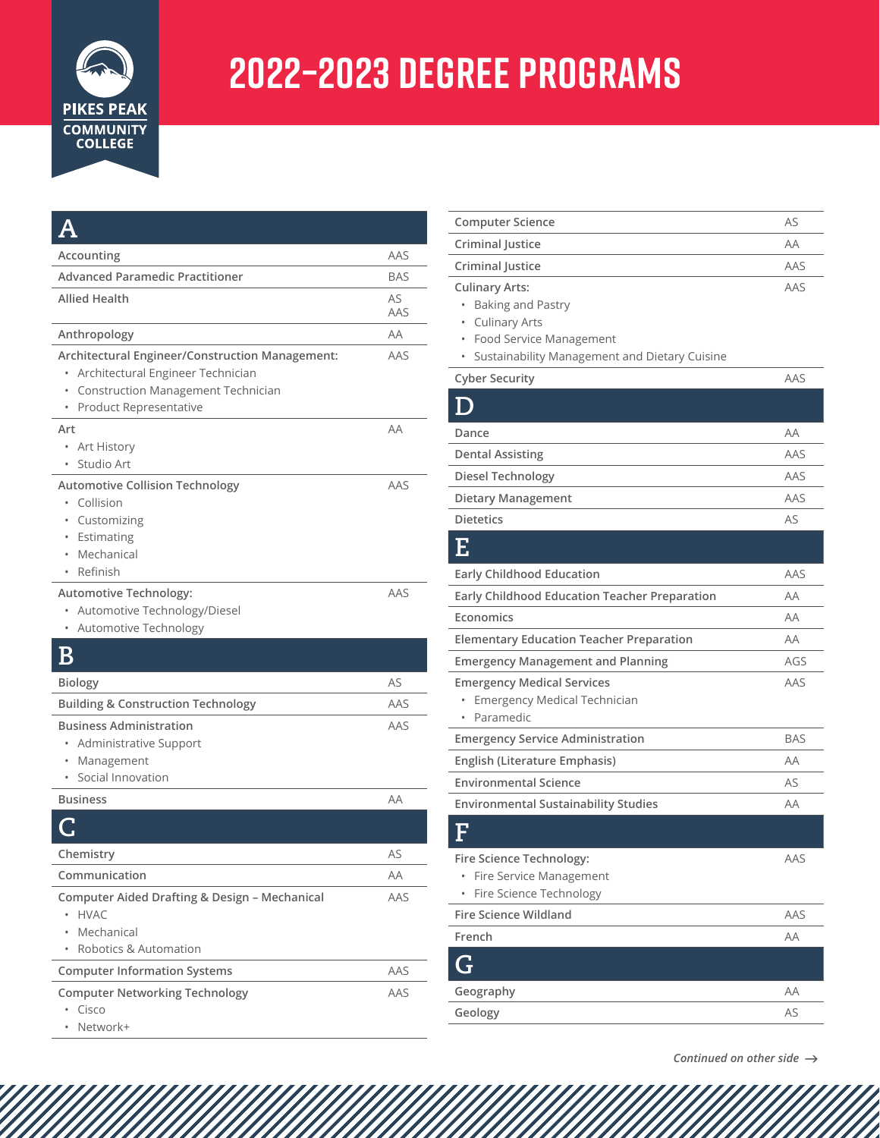

## **2022–2023 degree Programs**

| Accounting                                                                                                                                                            | AAS        |
|-----------------------------------------------------------------------------------------------------------------------------------------------------------------------|------------|
| <b>Advanced Paramedic Practitioner</b>                                                                                                                                | <b>BAS</b> |
| Allied Health                                                                                                                                                         | AS<br>AAS  |
| Anthropology                                                                                                                                                          | AA         |
| Architectural Engineer/Construction Management:<br>Architectural Engineer Technician<br>$\bullet$<br>• Construction Management Technician<br>• Product Representative | AAS        |
| Art<br>Art History<br>$\bullet$<br>Studio Art                                                                                                                         | AA         |
| <b>Automotive Collision Technology</b><br>• Collision<br>• Customizing<br>• Estimating<br>• Mechanical<br>• Refinish                                                  | AAS        |
| Automotive Technology:<br>Automotive Technology/Diesel<br>$\bullet$<br><b>Automotive Technology</b>                                                                   | AAS        |
| Β                                                                                                                                                                     |            |
| <b>Biology</b>                                                                                                                                                        | AS         |
| <b>Building &amp; Construction Technology</b>                                                                                                                         | AAS        |
| <b>Business Administration</b><br>Administrative Support<br>Management<br>$\bullet$<br>Social Innovation                                                              | AAS        |
| <b>Business</b>                                                                                                                                                       | AA         |
|                                                                                                                                                                       |            |
| Chemistry                                                                                                                                                             | AS         |
| Communication                                                                                                                                                         | AΑ         |
| Computer Aided Drafting & Design - Mechanical<br><b>HVAC</b><br>Mechanical<br>Robotics & Automation                                                                   | AAS        |
| <b>Computer Information Systems</b>                                                                                                                                   | AAS        |
| <b>Computer Networking Technology</b><br>Cisco<br>Network+                                                                                                            | AAS        |

| <b>Computer Science</b>                                                                                                                                                              | AS         |
|--------------------------------------------------------------------------------------------------------------------------------------------------------------------------------------|------------|
| Criminal Justice                                                                                                                                                                     | AA         |
| Criminal Justice                                                                                                                                                                     | AAS        |
| <b>Culinary Arts:</b><br><b>Baking and Pastry</b><br>$\bullet$<br><b>Culinary Arts</b><br>$\bullet$<br>Food Service Management<br>۰<br>Sustainability Management and Dietary Cuisine | AAS        |
| <b>Cyber Security</b>                                                                                                                                                                | AAS        |
|                                                                                                                                                                                      |            |
| Dance                                                                                                                                                                                | AA         |
| <b>Dental Assisting</b>                                                                                                                                                              | AAS        |
| <b>Diesel Technology</b>                                                                                                                                                             | AAS        |
| <b>Dietary Management</b>                                                                                                                                                            | AAS        |
| <b>Dietetics</b>                                                                                                                                                                     | AS         |
| Е                                                                                                                                                                                    |            |
| <b>Early Childhood Education</b>                                                                                                                                                     | AAS        |
| <b>Early Childhood Education Teacher Preparation</b>                                                                                                                                 | AA         |
| Economics                                                                                                                                                                            | AA         |
| <b>Elementary Education Teacher Preparation</b>                                                                                                                                      | AA         |
| <b>Emergency Management and Planning</b>                                                                                                                                             | AGS        |
| <b>Emergency Medical Services</b><br><b>Emergency Medical Technician</b><br>۰<br>Paramedic                                                                                           | AAS        |
| <b>Emergency Service Administration</b>                                                                                                                                              | <b>BAS</b> |
| English (Literature Emphasis)                                                                                                                                                        | AA         |
| <b>Environmental Science</b>                                                                                                                                                         | AS         |
| <b>Environmental Sustainability Studies</b>                                                                                                                                          | AA         |
| F                                                                                                                                                                                    |            |
| Fire Science Technology:<br>Fire Service Management<br>Fire Science Technology                                                                                                       | AAS        |
| <b>Fire Science Wildland</b>                                                                                                                                                         | AAS        |
| French                                                                                                                                                                               | AA         |
|                                                                                                                                                                                      |            |
| Geography                                                                                                                                                                            | ΑA         |
| Geology                                                                                                                                                                              | AS         |